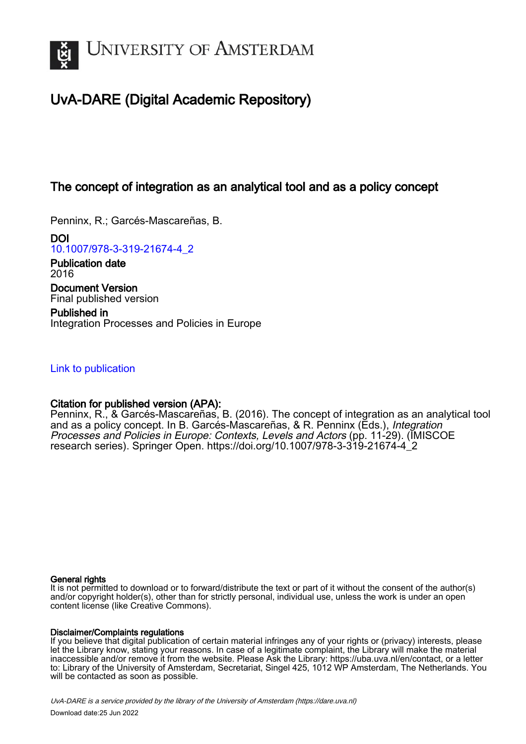

# UvA-DARE (Digital Academic Repository)

## The concept of integration as an analytical tool and as a policy concept

Penninx, R.; Garcés-Mascareñas, B.

DOI [10.1007/978-3-319-21674-4\\_2](https://doi.org/10.1007/978-3-319-21674-4_2)

Publication date 2016 Document Version Final published version

Published in Integration Processes and Policies in Europe

## [Link to publication](https://dare.uva.nl/personal/pure/en/publications/the-concept-of-integration-as-an-analytical-tool-and-as-a-policy-concept(5bbc3bfe-39bc-4a2d-8ffe-a45728aa7474).html)

### Citation for published version (APA):

Penninx, R., & Garcés-Mascareñas, B. (2016). The concept of integration as an analytical tool and as a policy concept. In B. Garcés-Mascareñas, & R. Penninx (Eds.), Integration Processes and Policies in Europe: Contexts, Levels and Actors (pp. 11-29). (IMISCOE research series). Springer Open. [https://doi.org/10.1007/978-3-319-21674-4\\_2](https://doi.org/10.1007/978-3-319-21674-4_2)

#### General rights

It is not permitted to download or to forward/distribute the text or part of it without the consent of the author(s) and/or copyright holder(s), other than for strictly personal, individual use, unless the work is under an open content license (like Creative Commons).

### Disclaimer/Complaints regulations

If you believe that digital publication of certain material infringes any of your rights or (privacy) interests, please let the Library know, stating your reasons. In case of a legitimate complaint, the Library will make the material inaccessible and/or remove it from the website. Please Ask the Library: https://uba.uva.nl/en/contact, or a letter to: Library of the University of Amsterdam, Secretariat, Singel 425, 1012 WP Amsterdam, The Netherlands. You will be contacted as soon as possible.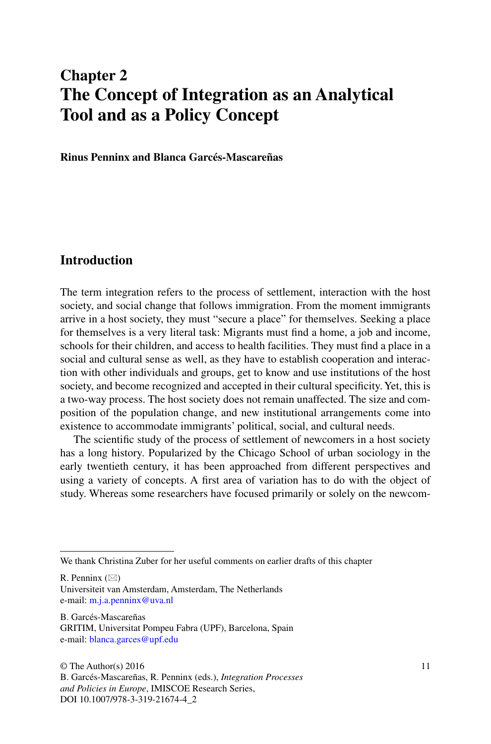## **Chapter 2 The Concept of Integration as an Analytical Tool and as a Policy Concept**

 **Rinus Penninx and Blanca Garcés-Mascareñas** 

#### **Introduction**

 The term integration refers to the process of settlement, interaction with the host society, and social change that follows immigration. From the moment immigrants arrive in a host society, they must "secure a place" for themselves. Seeking a place for themselves is a very literal task: Migrants must find a home, a job and income, schools for their children, and access to health facilities. They must find a place in a social and cultural sense as well, as they have to establish cooperation and interaction with other individuals and groups, get to know and use institutions of the host society, and become recognized and accepted in their cultural specificity. Yet, this is a two-way process. The host society does not remain unaffected. The size and composition of the population change, and new institutional arrangements come into existence to accommodate immigrants' political, social, and cultural needs.

The scientific study of the process of settlement of newcomers in a host society has a long history. Popularized by the Chicago School of urban sociology in the early twentieth century, it has been approached from different perspectives and using a variety of concepts. A first area of variation has to do with the object of study. Whereas some researchers have focused primarily or solely on the newcom-

R. Penninx  $(\boxtimes)$ Universiteit van Amsterdam, Amsterdam, The Netherlands e-mail: [m.j.a.penninx@uva.nl](mailto:m.j.a.penninx@uva.nl)

 B. Garcés-Mascareñas GRITIM, Universitat Pompeu Fabra (UPF), Barcelona, Spain e-mail: [blanca.garces@upf.edu](mailto:blanca.garces@upf.edu)

 $\odot$  The Author(s) 2016 11 B. Garcés-Mascareñas, R. Penninx (eds.), *Integration Processes and Policies in Europe*, IMISCOE Research Series, DOI 10.1007/978-3-319-21674-4\_2

We thank Christina Zuber for her useful comments on earlier drafts of this chapter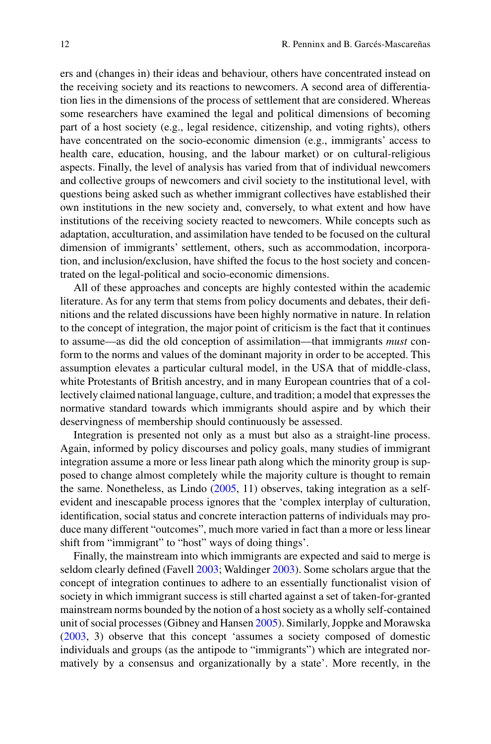ers and (changes in) their ideas and behaviour, others have concentrated instead on the receiving society and its reactions to newcomers. A second area of differentiation lies in the dimensions of the process of settlement that are considered. Whereas some researchers have examined the legal and political dimensions of becoming part of a host society (e.g., legal residence, citizenship, and voting rights), others have concentrated on the socio-economic dimension (e.g., immigrants' access to health care, education, housing, and the labour market) or on cultural-religious aspects. Finally, the level of analysis has varied from that of individual newcomers and collective groups of newcomers and civil society to the institutional level, with questions being asked such as whether immigrant collectives have established their own institutions in the new society and, conversely, to what extent and how have institutions of the receiving society reacted to newcomers. While concepts such as adaptation, acculturation, and assimilation have tended to be focused on the cultural dimension of immigrants' settlement, others, such as accommodation, incorporation, and inclusion/exclusion, have shifted the focus to the host society and concentrated on the legal-political and socio-economic dimensions.

 All of these approaches and concepts are highly contested within the academic literature. As for any term that stems from policy documents and debates, their definitions and the related discussions have been highly normative in nature. In relation to the concept of integration, the major point of criticism is the fact that it continues to assume—as did the old conception of assimilation—that immigrants *must* conform to the norms and values of the dominant majority in order to be accepted. This assumption elevates a particular cultural model, in the USA that of middle-class, white Protestants of British ancestry, and in many European countries that of a collectively claimed national language, culture, and tradition; a model that expresses the normative standard towards which immigrants should aspire and by which their deservingness of membership should continuously be assessed.

 Integration is presented not only as a must but also as a straight-line process. Again, informed by policy discourses and policy goals, many studies of immigrant integration assume a more or less linear path along which the minority group is supposed to change almost completely while the majority culture is thought to remain the same. Nonetheless, as Lindo  $(2005, 11)$  observes, taking integration as a selfevident and inescapable process ignores that the 'complex interplay of culturation, identification, social status and concrete interaction patterns of individuals may produce many different "outcomes", much more varied in fact than a more or less linear shift from "immigrant" to "host" ways of doing things'.

 Finally, the mainstream into which immigrants are expected and said to merge is seldom clearly defined (Favell [2003](#page-19-0); Waldinger 2003). Some scholars argue that the concept of integration continues to adhere to an essentially functionalist vision of society in which immigrant success is still charted against a set of taken-for-granted mainstream norms bounded by the notion of a host society as a wholly self- contained unit of social processes (Gibney and Hansen [2005 \)](#page-18-0). Similarly, Joppke and Morawska  $(2003, 3)$  observe that this concept 'assumes a society composed of domestic individuals and groups (as the antipode to "immigrants") which are integrated normatively by a consensus and organizationally by a state'. More recently, in the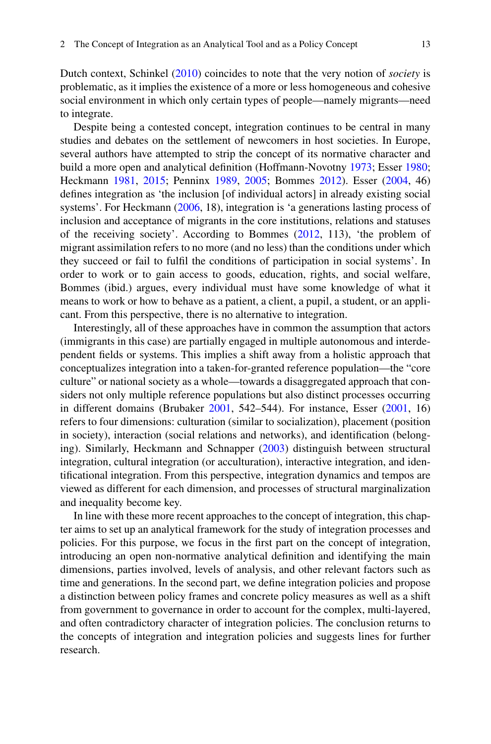Dutch context, Schinkel (2010) coincides to note that the very notion of *society* is problematic, as it implies the existence of a more or less homogeneous and cohesive social environment in which only certain types of people—namely migrants—need to integrate.

 Despite being a contested concept, integration continues to be central in many studies and debates on the settlement of newcomers in host societies. In Europe, several authors have attempted to strip the concept of its normative character and build a more open and analytical definition (Hoffmann-Novotny [1973](#page-18-0); Esser 1980; Heckmann [1981](#page-18-0), [2015](#page-18-0); Penninx [1989](#page-18-0), [2005](#page-18-0); Bommes [2012](#page-17-0)). Esser (2004, 46) defines integration as 'the inclusion [of individual actors] in already existing social systems'. For Heckmann  $(2006, 18)$ , integration is 'a generations lasting process of inclusion and acceptance of migrants in the core institutions, relations and statuses of the receiving society'. According to Bommes  $(2012, 113)$ , 'the problem of migrant assimilation refers to no more (and no less) than the conditions under which they succeed or fail to fulfi l the conditions of participation in social systems'. In order to work or to gain access to goods, education, rights, and social welfare, Bommes (ibid.) argues, every individual must have some knowledge of what it means to work or how to behave as a patient, a client, a pupil, a student, or an applicant. From this perspective, there is no alternative to integration.

 Interestingly, all of these approaches have in common the assumption that actors (immigrants in this case) are partially engaged in multiple autonomous and interdependent fields or systems. This implies a shift away from a holistic approach that conceptualizes integration into a taken-for-granted reference population—the "core culture" or national society as a whole—towards a disaggregated approach that considers not only multiple reference populations but also distinct processes occurring in different domains (Brubaker  $2001$ , 542–544). For instance, Esser  $(2001, 16)$ refers to four dimensions: culturation (similar to socialization), placement (position in society), interaction (social relations and networks), and identification (belonging). Similarly, Heckmann and Schnapper (2003) distinguish between structural integration, cultural integration (or acculturation), interactive integration, and identificational integration. From this perspective, integration dynamics and tempos are viewed as different for each dimension, and processes of structural marginalization and inequality become key.

 In line with these more recent approaches to the concept of integration, this chapter aims to set up an analytical framework for the study of integration processes and policies. For this purpose, we focus in the first part on the concept of integration, introducing an open non-normative analytical definition and identifying the main dimensions, parties involved, levels of analysis, and other relevant factors such as time and generations. In the second part, we define integration policies and propose a distinction between policy frames and concrete policy measures as well as a shift from government to governance in order to account for the complex, multi-layered, and often contradictory character of integration policies. The conclusion returns to the concepts of integration and integration policies and suggests lines for further research.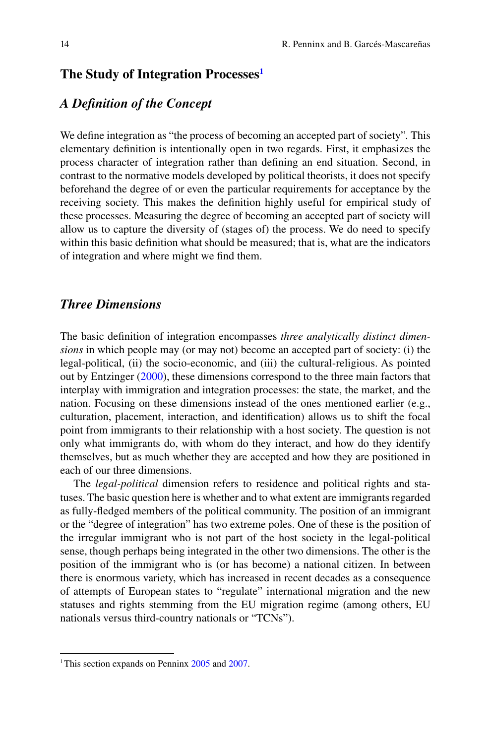#### **The Study of Integration Processes 1**

#### *A Defi nition of the Concept*

We define integration as "the process of becoming an accepted part of society". This elementary definition is intentionally open in two regards. First, it emphasizes the process character of integration rather than defining an end situation. Second, in contrast to the normative models developed by political theorists, it does not specify beforehand the degree of or even the particular requirements for acceptance by the receiving society. This makes the definition highly useful for empirical study of these processes. Measuring the degree of becoming an accepted part of society will allow us to capture the diversity of (stages of) the process. We do need to specify within this basic definition what should be measured; that is, what are the indicators of integration and where might we find them.

#### *Three Dimensions*

The basic definition of integration encompasses *three analytically distinct dimensions* in which people may (or may not) become an accepted part of society: (i) the legal-political, (ii) the socio-economic, and (iii) the cultural-religious. As pointed out by Entzinger (2000), these dimensions correspond to the three main factors that interplay with immigration and integration processes: the state, the market, and the nation. Focusing on these dimensions instead of the ones mentioned earlier (e.g., culturation, placement, interaction, and identification) allows us to shift the focal point from immigrants to their relationship with a host society. The question is not only what immigrants do, with whom do they interact, and how do they identify themselves, but as much whether they are accepted and how they are positioned in each of our three dimensions.

 The *legal-political* dimension refers to residence and political rights and statuses. The basic question here is whether and to what extent are immigrants regarded as fully-fledged members of the political community. The position of an immigrant or the "degree of integration" has two extreme poles. One of these is the position of the irregular immigrant who is not part of the host society in the legal-political sense, though perhaps being integrated in the other two dimensions. The other is the position of the immigrant who is (or has become) a national citizen. In between there is enormous variety, which has increased in recent decades as a consequence of attempts of European states to "regulate" international migration and the new statuses and rights stemming from the EU migration regime (among others, EU nationals versus third-country nationals or "TCNs").

<sup>&</sup>lt;sup>1</sup> This section expands on Penninx [2005](#page-18-0) and 2007.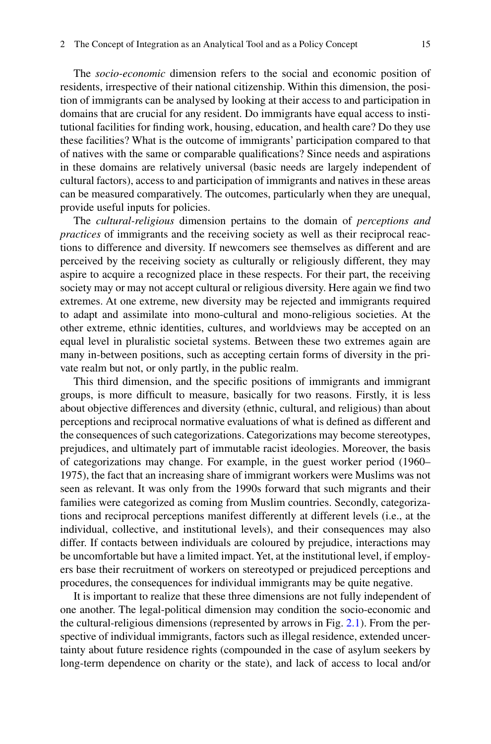The *socio-economic* dimension refers to the social and economic position of residents, irrespective of their national citizenship. Within this dimension, the position of immigrants can be analysed by looking at their access to and participation in domains that are crucial for any resident. Do immigrants have equal access to institutional facilities for finding work, housing, education, and health care? Do they use these facilities? What is the outcome of immigrants' participation compared to that of natives with the same or comparable qualifications? Since needs and aspirations in these domains are relatively universal (basic needs are largely independent of cultural factors), access to and participation of immigrants and natives in these areas can be measured comparatively. The outcomes, particularly when they are unequal, provide useful inputs for policies.

 The *cultural-religious* dimension pertains to the domain of *perceptions and practices* of immigrants and the receiving society as well as their reciprocal reactions to difference and diversity. If newcomers see themselves as different and are perceived by the receiving society as culturally or religiously different, they may aspire to acquire a recognized place in these respects. For their part, the receiving society may or may not accept cultural or religious diversity. Here again we find two extremes. At one extreme, new diversity may be rejected and immigrants required to adapt and assimilate into mono-cultural and mono-religious societies. At the other extreme, ethnic identities, cultures, and worldviews may be accepted on an equal level in pluralistic societal systems. Between these two extremes again are many in-between positions, such as accepting certain forms of diversity in the private realm but not, or only partly, in the public realm.

This third dimension, and the specific positions of immigrants and immigrant groups, is more difficult to measure, basically for two reasons. Firstly, it is less about objective differences and diversity (ethnic, cultural, and religious) than about perceptions and reciprocal normative evaluations of what is defined as different and the consequences of such categorizations. Categorizations may become stereotypes, prejudices, and ultimately part of immutable racist ideologies. Moreover, the basis of categorizations may change. For example, in the guest worker period (1960– 1975), the fact that an increasing share of immigrant workers were Muslims was not seen as relevant. It was only from the 1990s forward that such migrants and their families were categorized as coming from Muslim countries. Secondly, categorizations and reciprocal perceptions manifest differently at different levels (i.e., at the individual, collective, and institutional levels), and their consequences may also differ. If contacts between individuals are coloured by prejudice, interactions may be uncomfortable but have a limited impact. Yet, at the institutional level, if employers base their recruitment of workers on stereotyped or prejudiced perceptions and procedures, the consequences for individual immigrants may be quite negative.

 It is important to realize that these three dimensions are not fully independent of one another. The legal-political dimension may condition the socio-economic and the cultural-religious dimensions (represented by arrows in Fig. [2.1 \)](#page-6-0). From the perspective of individual immigrants, factors such as illegal residence, extended uncertainty about future residence rights (compounded in the case of asylum seekers by long-term dependence on charity or the state), and lack of access to local and/or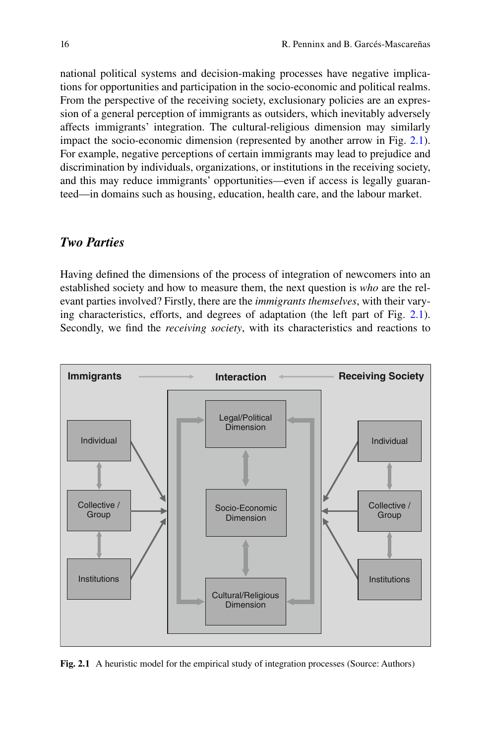<span id="page-6-0"></span>national political systems and decision-making processes have negative implications for opportunities and participation in the socio-economic and political realms. From the perspective of the receiving society, exclusionary policies are an expression of a general perception of immigrants as outsiders, which inevitably adversely affects immigrants' integration. The cultural-religious dimension may similarly impact the socio-economic dimension (represented by another arrow in Fig. 2.1). For example, negative perceptions of certain immigrants may lead to prejudice and discrimination by individuals, organizations, or institutions in the receiving society, and this may reduce immigrants' opportunities—even if access is legally guaranteed—in domains such as housing, education, health care, and the labour market.

#### *Two Parties*

Having defined the dimensions of the process of integration of newcomers into an established society and how to measure them, the next question is *who* are the relevant parties involved? Firstly, there are the *immigrants themselves* , with their varying characteristics, efforts, and degrees of adaptation (the left part of Fig.  $2.1$ ). Secondly, we find the *receiving society*, with its characteristics and reactions to



 **Fig. 2.1** A heuristic model for the empirical study of integration processes (Source: Authors)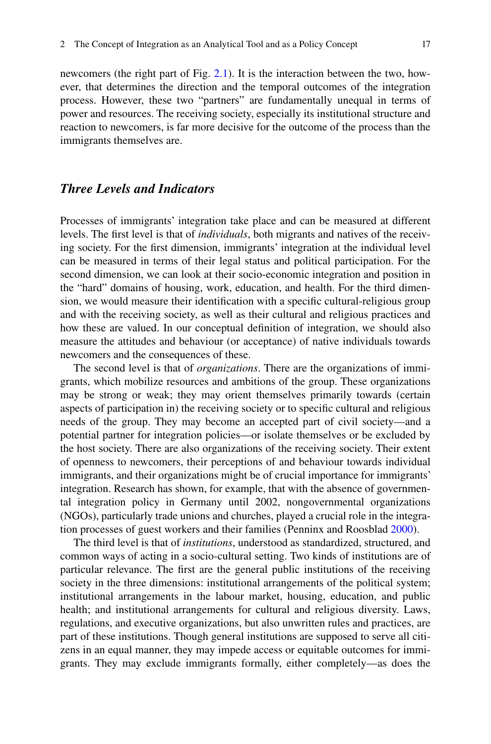newcomers (the right part of Fig. [2.1](#page-6-0)). It is the interaction between the two, however, that determines the direction and the temporal outcomes of the integration process. However, these two "partners" are fundamentally unequal in terms of power and resources. The receiving society, especially its institutional structure and reaction to newcomers, is far more decisive for the outcome of the process than the immigrants themselves are.

#### *Three Levels and Indicators*

 Processes of immigrants' integration take place and can be measured at different levels. The first level is that of *individuals*, both migrants and natives of the receiving society. For the first dimension, immigrants' integration at the individual level can be measured in terms of their legal status and political participation. For the second dimension, we can look at their socio-economic integration and position in the "hard" domains of housing, work, education, and health. For the third dimension, we would measure their identification with a specific cultural-religious group and with the receiving society, as well as their cultural and religious practices and how these are valued. In our conceptual definition of integration, we should also measure the attitudes and behaviour (or acceptance) of native individuals towards newcomers and the consequences of these.

 The second level is that of *organizations* . There are the organizations of immigrants, which mobilize resources and ambitions of the group. These organizations may be strong or weak; they may orient themselves primarily towards (certain aspects of participation in) the receiving society or to specific cultural and religious needs of the group. They may become an accepted part of civil society—and a potential partner for integration policies—or isolate themselves or be excluded by the host society. There are also organizations of the receiving society. Their extent of openness to newcomers, their perceptions of and behaviour towards individual immigrants, and their organizations might be of crucial importance for immigrants' integration. Research has shown, for example, that with the absence of governmental integration policy in Germany until 2002, nongovernmental organizations (NGOs), particularly trade unions and churches, played a crucial role in the integration processes of guest workers and their families (Penninx and Roosblad 2000).

 The third level is that of *institutions* , understood as standardized, structured, and common ways of acting in a socio-cultural setting. Two kinds of institutions are of particular relevance. The first are the general public institutions of the receiving society in the three dimensions: institutional arrangements of the political system; institutional arrangements in the labour market, housing, education, and public health; and institutional arrangements for cultural and religious diversity. Laws, regulations, and executive organizations, but also unwritten rules and practices, are part of these institutions. Though general institutions are supposed to serve all citizens in an equal manner, they may impede access or equitable outcomes for immigrants. They may exclude immigrants formally, either completely—as does the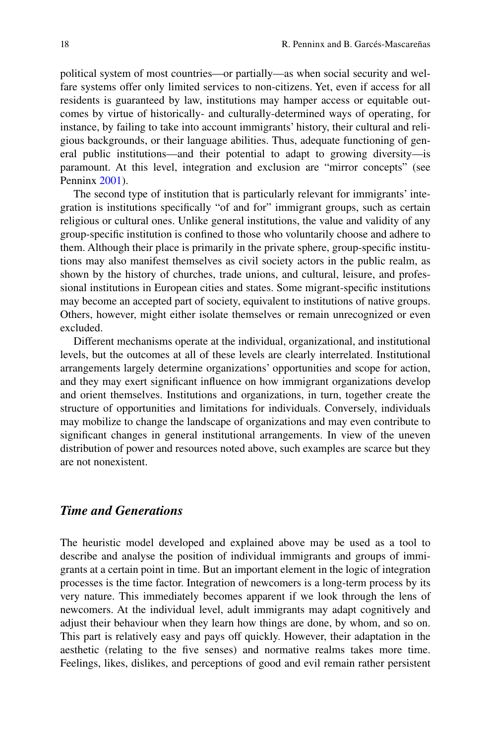political system of most countries—or partially—as when social security and welfare systems offer only limited services to non-citizens. Yet, even if access for all residents is guaranteed by law, institutions may hamper access or equitable outcomes by virtue of historically- and culturally-determined ways of operating, for instance, by failing to take into account immigrants' history, their cultural and religious backgrounds, or their language abilities. Thus, adequate functioning of general public institutions—and their potential to adapt to growing diversity—is paramount. At this level, integration and exclusion are "mirror concepts" (see Penninx [2001](#page-18-0)).

 The second type of institution that is particularly relevant for immigrants' integration is institutions specifically "of and for" immigrant groups, such as certain religious or cultural ones. Unlike general institutions, the value and validity of any group-specific institution is confined to those who voluntarily choose and adhere to them. Although their place is primarily in the private sphere, group-specific institutions may also manifest themselves as civil society actors in the public realm, as shown by the history of churches, trade unions, and cultural, leisure, and professional institutions in European cities and states. Some migrant-specific institutions may become an accepted part of society, equivalent to institutions of native groups. Others, however, might either isolate themselves or remain unrecognized or even excluded.

 Different mechanisms operate at the individual, organizational, and institutional levels, but the outcomes at all of these levels are clearly interrelated. Institutional arrangements largely determine organizations' opportunities and scope for action, and they may exert significant influence on how immigrant organizations develop and orient themselves. Institutions and organizations, in turn, together create the structure of opportunities and limitations for individuals. Conversely, individuals may mobilize to change the landscape of organizations and may even contribute to significant changes in general institutional arrangements. In view of the uneven distribution of power and resources noted above, such examples are scarce but they are not nonexistent.

#### *Time and Generations*

 The heuristic model developed and explained above may be used as a tool to describe and analyse the position of individual immigrants and groups of immigrants at a certain point in time. But an important element in the logic of integration processes is the time factor. Integration of newcomers is a long-term process by its very nature. This immediately becomes apparent if we look through the lens of newcomers. At the individual level, adult immigrants may adapt cognitively and adjust their behaviour when they learn how things are done, by whom, and so on. This part is relatively easy and pays off quickly. However, their adaptation in the aesthetic (relating to the five senses) and normative realms takes more time. Feelings, likes, dislikes, and perceptions of good and evil remain rather persistent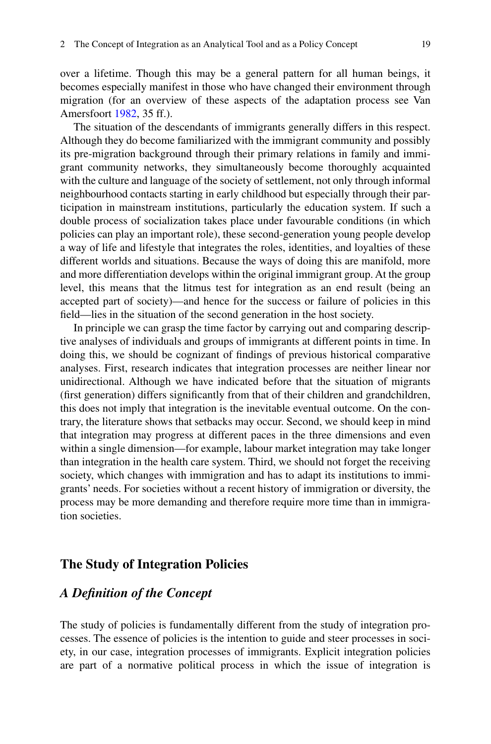over a lifetime. Though this may be a general pattern for all human beings, it becomes especially manifest in those who have changed their environment through migration (for an overview of these aspects of the adaptation process see Van Amersfoort [1982](#page-19-0) , 35 ff.).

 The situation of the descendants of immigrants generally differs in this respect. Although they do become familiarized with the immigrant community and possibly its pre-migration background through their primary relations in family and immigrant community networks, they simultaneously become thoroughly acquainted with the culture and language of the society of settlement, not only through informal neighbourhood contacts starting in early childhood but especially through their participation in mainstream institutions, particularly the education system. If such a double process of socialization takes place under favourable conditions (in which policies can play an important role), these second-generation young people develop a way of life and lifestyle that integrates the roles, identities, and loyalties of these different worlds and situations. Because the ways of doing this are manifold, more and more differentiation develops within the original immigrant group. At the group level, this means that the litmus test for integration as an end result (being an accepted part of society)—and hence for the success or failure of policies in this field—lies in the situation of the second generation in the host society.

 In principle we can grasp the time factor by carrying out and comparing descriptive analyses of individuals and groups of immigrants at different points in time. In doing this, we should be cognizant of findings of previous historical comparative analyses. First, research indicates that integration processes are neither linear nor unidirectional. Although we have indicated before that the situation of migrants (first generation) differs significantly from that of their children and grandchildren, this does not imply that integration is the inevitable eventual outcome. On the contrary, the literature shows that setbacks may occur. Second, we should keep in mind that integration may progress at different paces in the three dimensions and even within a single dimension—for example, labour market integration may take longer than integration in the health care system. Third, we should not forget the receiving society, which changes with immigration and has to adapt its institutions to immigrants' needs. For societies without a recent history of immigration or diversity, the process may be more demanding and therefore require more time than in immigration societies.

#### **The Study of Integration Policies**

#### *A Defi nition of the Concept*

 The study of policies is fundamentally different from the study of integration processes. The essence of policies is the intention to guide and steer processes in society, in our case, integration processes of immigrants. Explicit integration policies are part of a normative political process in which the issue of integration is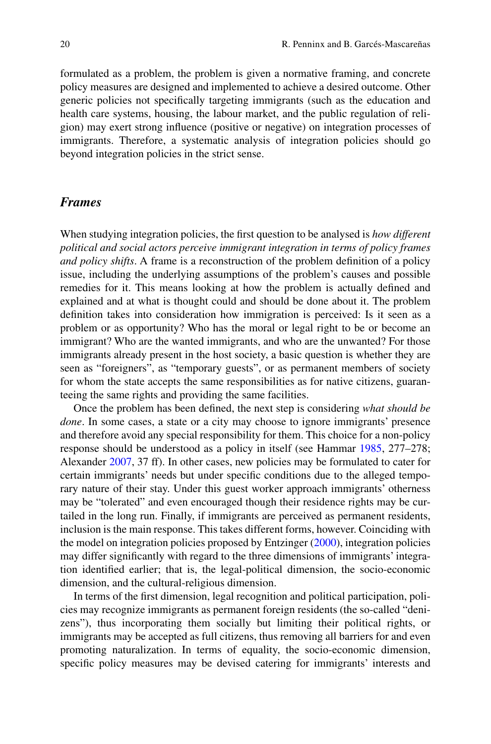formulated as a problem, the problem is given a normative framing, and concrete policy measures are designed and implemented to achieve a desired outcome. Other generic policies not specifically targeting immigrants (such as the education and health care systems, housing, the labour market, and the public regulation of religion) may exert strong influence (positive or negative) on integration processes of immigrants. Therefore, a systematic analysis of integration policies should go beyond integration policies in the strict sense.

#### *Frames*

When studying integration policies, the first question to be analysed is *how different political and social actors perceive immigrant integration in terms of policy frames and policy shifts*. A frame is a reconstruction of the problem definition of a policy issue, including the underlying assumptions of the problem's causes and possible remedies for it. This means looking at how the problem is actually defined and explained and at what is thought could and should be done about it. The problem definition takes into consideration how immigration is perceived: Is it seen as a problem or as opportunity? Who has the moral or legal right to be or become an immigrant? Who are the wanted immigrants, and who are the unwanted? For those immigrants already present in the host society, a basic question is whether they are seen as "foreigners", as "temporary guests", or as permanent members of society for whom the state accepts the same responsibilities as for native citizens, guaranteeing the same rights and providing the same facilities.

Once the problem has been defined, the next step is considering *what should be done*. In some cases, a state or a city may choose to ignore immigrants' presence and therefore avoid any special responsibility for them. This choice for a non-policy response should be understood as a policy in itself (see Hammar 1985, 277–278; Alexander [2007 ,](#page-17-0) 37 ff). In other cases, new policies may be formulated to cater for certain immigrants' needs but under specific conditions due to the alleged temporary nature of their stay. Under this guest worker approach immigrants' otherness may be "tolerated" and even encouraged though their residence rights may be curtailed in the long run. Finally, if immigrants are perceived as permanent residents, inclusion is the main response. This takes different forms, however. Coinciding with the model on integration policies proposed by Entzinger (2000), integration policies may differ significantly with regard to the three dimensions of immigrants' integration identified earlier; that is, the legal-political dimension, the socio-economic dimension, and the cultural-religious dimension.

In terms of the first dimension, legal recognition and political participation, policies may recognize immigrants as permanent foreign residents (the so-called "denizens"), thus incorporating them socially but limiting their political rights, or immigrants may be accepted as full citizens, thus removing all barriers for and even promoting naturalization. In terms of equality, the socio-economic dimension, specific policy measures may be devised catering for immigrants' interests and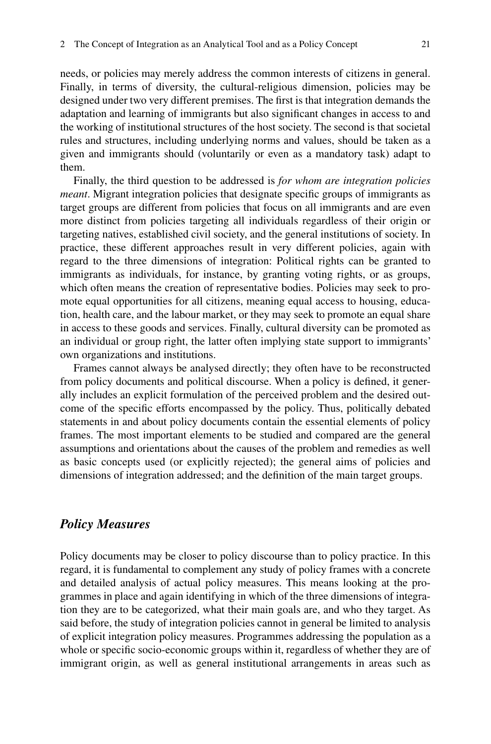needs, or policies may merely address the common interests of citizens in general. Finally, in terms of diversity, the cultural-religious dimension, policies may be designed under two very different premises. The first is that integration demands the adaptation and learning of immigrants but also significant changes in access to and the working of institutional structures of the host society. The second is that societal rules and structures, including underlying norms and values, should be taken as a given and immigrants should (voluntarily or even as a mandatory task) adapt to them.

 Finally, the third question to be addressed is *for whom are integration policies meant*. Migrant integration policies that designate specific groups of immigrants as target groups are different from policies that focus on all immigrants and are even more distinct from policies targeting all individuals regardless of their origin or targeting natives, established civil society, and the general institutions of society. In practice, these different approaches result in very different policies, again with regard to the three dimensions of integration: Political rights can be granted to immigrants as individuals, for instance, by granting voting rights, or as groups, which often means the creation of representative bodies. Policies may seek to promote equal opportunities for all citizens, meaning equal access to housing, education, health care, and the labour market, or they may seek to promote an equal share in access to these goods and services. Finally, cultural diversity can be promoted as an individual or group right, the latter often implying state support to immigrants' own organizations and institutions.

 Frames cannot always be analysed directly; they often have to be reconstructed from policy documents and political discourse. When a policy is defined, it generally includes an explicit formulation of the perceived problem and the desired outcome of the specific efforts encompassed by the policy. Thus, politically debated statements in and about policy documents contain the essential elements of policy frames. The most important elements to be studied and compared are the general assumptions and orientations about the causes of the problem and remedies as well as basic concepts used (or explicitly rejected); the general aims of policies and dimensions of integration addressed; and the definition of the main target groups.

#### *Policy Measures*

 Policy documents may be closer to policy discourse than to policy practice. In this regard, it is fundamental to complement any study of policy frames with a concrete and detailed analysis of actual policy measures. This means looking at the programmes in place and again identifying in which of the three dimensions of integration they are to be categorized, what their main goals are, and who they target. As said before, the study of integration policies cannot in general be limited to analysis of explicit integration policy measures. Programmes addressing the population as a whole or specific socio-economic groups within it, regardless of whether they are of immigrant origin, as well as general institutional arrangements in areas such as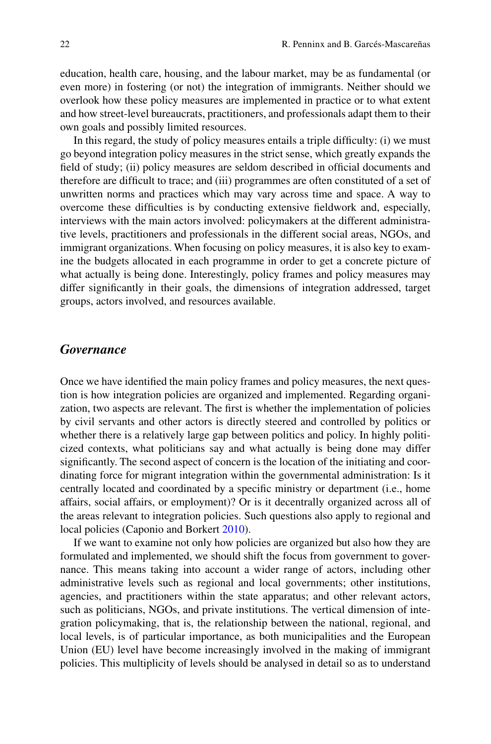education, health care, housing, and the labour market, may be as fundamental (or even more) in fostering (or not) the integration of immigrants. Neither should we overlook how these policy measures are implemented in practice or to what extent and how street-level bureaucrats, practitioners, and professionals adapt them to their own goals and possibly limited resources.

In this regard, the study of policy measures entails a triple difficulty:  $(i)$  we must go beyond integration policy measures in the strict sense, which greatly expands the field of study; (ii) policy measures are seldom described in official documents and therefore are difficult to trace; and (iii) programmes are often constituted of a set of unwritten norms and practices which may vary across time and space. A way to overcome these difficulties is by conducting extensive fieldwork and, especially, interviews with the main actors involved: policymakers at the different administrative levels, practitioners and professionals in the different social areas, NGOs, and immigrant organizations. When focusing on policy measures, it is also key to examine the budgets allocated in each programme in order to get a concrete picture of what actually is being done. Interestingly, policy frames and policy measures may differ significantly in their goals, the dimensions of integration addressed, target groups, actors involved, and resources available.

#### *Governance*

Once we have identified the main policy frames and policy measures, the next question is how integration policies are organized and implemented. Regarding organization, two aspects are relevant. The first is whether the implementation of policies by civil servants and other actors is directly steered and controlled by politics or whether there is a relatively large gap between politics and policy. In highly politicized contexts, what politicians say and what actually is being done may differ significantly. The second aspect of concern is the location of the initiating and coordinating force for migrant integration within the governmental administration: Is it centrally located and coordinated by a specific ministry or department (i.e., home affairs, social affairs, or employment)? Or is it decentrally organized across all of the areas relevant to integration policies. Such questions also apply to regional and local policies (Caponio and Borkert [2010](#page-17-0)).

 If we want to examine not only how policies are organized but also how they are formulated and implemented, we should shift the focus from government to governance. This means taking into account a wider range of actors, including other administrative levels such as regional and local governments; other institutions, agencies, and practitioners within the state apparatus; and other relevant actors, such as politicians, NGOs, and private institutions. The vertical dimension of integration policymaking, that is, the relationship between the national, regional, and local levels, is of particular importance, as both municipalities and the European Union (EU) level have become increasingly involved in the making of immigrant policies. This multiplicity of levels should be analysed in detail so as to understand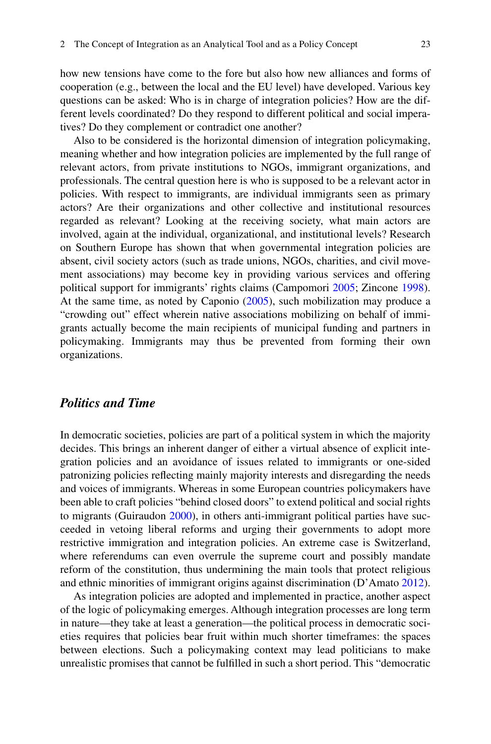how new tensions have come to the fore but also how new alliances and forms of cooperation (e.g., between the local and the EU level) have developed. Various key questions can be asked: Who is in charge of integration policies? How are the different levels coordinated? Do they respond to different political and social imperatives? Do they complement or contradict one another?

 Also to be considered is the horizontal dimension of integration policymaking, meaning whether and how integration policies are implemented by the full range of relevant actors, from private institutions to NGOs, immigrant organizations, and professionals. The central question here is who is supposed to be a relevant actor in policies. With respect to immigrants, are individual immigrants seen as primary actors? Are their organizations and other collective and institutional resources regarded as relevant? Looking at the receiving society, what main actors are involved, again at the individual, organizational, and institutional levels? Research on Southern Europe has shown that when governmental integration policies are absent, civil society actors (such as trade unions, NGOs, charities, and civil movement associations) may become key in providing various services and offering political support for immigrants' rights claims (Campomori 2005; Zincone 1998). At the same time, as noted by Caponio  $(2005)$ , such mobilization may produce a "crowding out" effect wherein native associations mobilizing on behalf of immigrants actually become the main recipients of municipal funding and partners in policymaking. Immigrants may thus be prevented from forming their own organizations.

#### *Politics and Time*

 In democratic societies, policies are part of a political system in which the majority decides. This brings an inherent danger of either a virtual absence of explicit integration policies and an avoidance of issues related to immigrants or one-sided patronizing policies reflecting mainly majority interests and disregarding the needs and voices of immigrants. Whereas in some European countries policymakers have been able to craft policies "behind closed doors" to extend political and social rights to migrants (Guiraudon 2000), in others anti-immigrant political parties have succeeded in vetoing liberal reforms and urging their governments to adopt more restrictive immigration and integration policies. An extreme case is Switzerland, where referendums can even overrule the supreme court and possibly mandate reform of the constitution, thus undermining the main tools that protect religious and ethnic minorities of immigrant origins against discrimination (D'Amato 2012).

 As integration policies are adopted and implemented in practice, another aspect of the logic of policymaking emerges. Although integration processes are long term in nature—they take at least a generation—the political process in democratic societies requires that policies bear fruit within much shorter timeframes: the spaces between elections. Such a policymaking context may lead politicians to make unrealistic promises that cannot be fulfilled in such a short period. This "democratic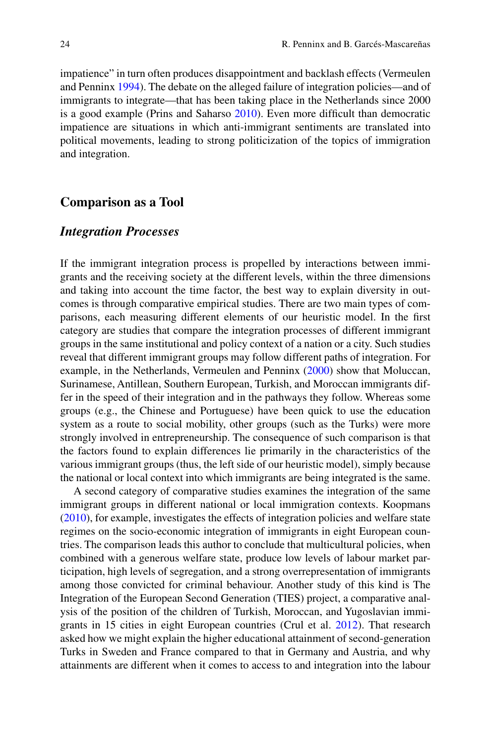impatience" in turn often produces disappointment and backlash effects (Vermeulen and Penninx [1994](#page-19-0)). The debate on the alleged failure of integration policies—and of immigrants to integrate—that has been taking place in the Netherlands since 2000 is a good example (Prins and Saharso  $2010$ ). Even more difficult than democratic impatience are situations in which anti-immigrant sentiments are translated into political movements, leading to strong politicization of the topics of immigration and integration.

#### **Comparison as a Tool**

#### *Integration Processes*

 If the immigrant integration process is propelled by interactions between immigrants and the receiving society at the different levels, within the three dimensions and taking into account the time factor, the best way to explain diversity in outcomes is through comparative empirical studies. There are two main types of comparisons, each measuring different elements of our heuristic model. In the first category are studies that compare the integration processes of different immigrant groups in the same institutional and policy context of a nation or a city. Such studies reveal that different immigrant groups may follow different paths of integration. For example, in the Netherlands, Vermeulen and Penninx (2000) show that Moluccan, Surinamese, Antillean, Southern European, Turkish, and Moroccan immigrants differ in the speed of their integration and in the pathways they follow. Whereas some groups (e.g., the Chinese and Portuguese) have been quick to use the education system as a route to social mobility, other groups (such as the Turks) were more strongly involved in entrepreneurship. The consequence of such comparison is that the factors found to explain differences lie primarily in the characteristics of the various immigrant groups (thus, the left side of our heuristic model), simply because the national or local context into which immigrants are being integrated is the same.

 A second category of comparative studies examines the integration of the same immigrant groups in different national or local immigration contexts. Koopmans  $(2010)$ , for example, investigates the effects of integration policies and welfare state regimes on the socio-economic integration of immigrants in eight European countries. The comparison leads this author to conclude that multicultural policies, when combined with a generous welfare state, produce low levels of labour market participation, high levels of segregation, and a strong overrepresentation of immigrants among those convicted for criminal behaviour. Another study of this kind is The Integration of the European Second Generation (TIES) project, a comparative analysis of the position of the children of Turkish, Moroccan, and Yugoslavian immigrants in 15 cities in eight European countries (Crul et al. [2012](#page-18-0) ). That research asked how we might explain the higher educational attainment of second-generation Turks in Sweden and France compared to that in Germany and Austria, and why attainments are different when it comes to access to and integration into the labour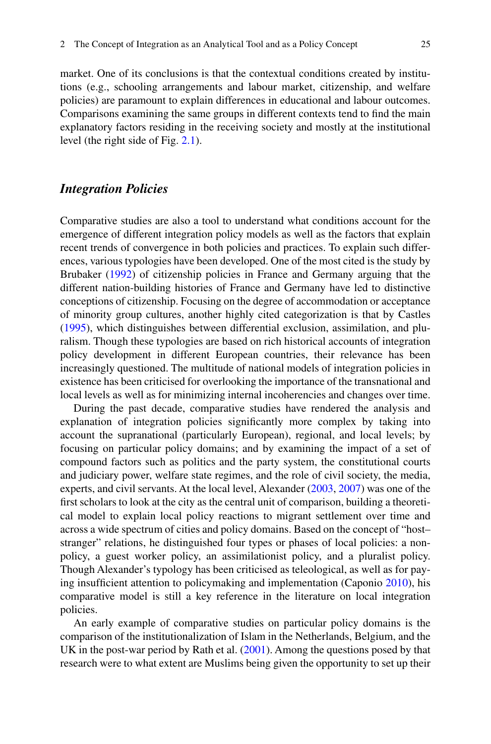market. One of its conclusions is that the contextual conditions created by institutions (e.g., schooling arrangements and labour market, citizenship, and welfare policies) are paramount to explain differences in educational and labour outcomes. Comparisons examining the same groups in different contexts tend to find the main explanatory factors residing in the receiving society and mostly at the institutional level (the right side of Fig. [2.1](#page-6-0)).

#### *Integration Policies*

 Comparative studies are also a tool to understand what conditions account for the emergence of different integration policy models as well as the factors that explain recent trends of convergence in both policies and practices. To explain such differences, various typologies have been developed. One of the most cited is the study by Brubaker (1992) of citizenship policies in France and Germany arguing that the different nation-building histories of France and Germany have led to distinctive conceptions of citizenship. Focusing on the degree of accommodation or acceptance of minority group cultures, another highly cited categorization is that by Castles [\( 1995](#page-17-0) ), which distinguishes between differential exclusion, assimilation, and pluralism. Though these typologies are based on rich historical accounts of integration policy development in different European countries, their relevance has been increasingly questioned. The multitude of national models of integration policies in existence has been criticised for overlooking the importance of the transnational and local levels as well as for minimizing internal incoherencies and changes over time.

 During the past decade, comparative studies have rendered the analysis and explanation of integration policies significantly more complex by taking into account the supranational (particularly European), regional, and local levels; by focusing on particular policy domains; and by examining the impact of a set of compound factors such as politics and the party system, the constitutional courts and judiciary power, welfare state regimes, and the role of civil society, the media, experts, and civil servants. At the local level, Alexander (2003, [2007](#page-17-0)) was one of the first scholars to look at the city as the central unit of comparison, building a theoretical model to explain local policy reactions to migrant settlement over time and across a wide spectrum of cities and policy domains. Based on the concept of "host– stranger" relations, he distinguished four types or phases of local policies: a nonpolicy, a guest worker policy, an assimilationist policy, and a pluralist policy. Though Alexander's typology has been criticised as teleological, as well as for pay-ing insufficient attention to policymaking and implementation (Caponio [2010](#page-17-0)), his comparative model is still a key reference in the literature on local integration policies.

 An early example of comparative studies on particular policy domains is the comparison of the institutionalization of Islam in the Netherlands, Belgium, and the UK in the post-war period by Rath et al. (2001). Among the questions posed by that research were to what extent are Muslims being given the opportunity to set up their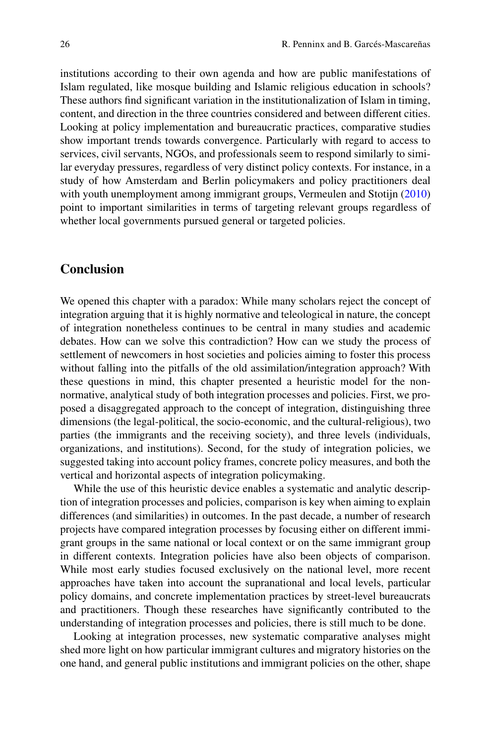institutions according to their own agenda and how are public manifestations of Islam regulated, like mosque building and Islamic religious education in schools? These authors find significant variation in the institutionalization of Islam in timing, content, and direction in the three countries considered and between different cities. Looking at policy implementation and bureaucratic practices, comparative studies show important trends towards convergence. Particularly with regard to access to services, civil servants, NGOs, and professionals seem to respond similarly to similar everyday pressures, regardless of very distinct policy contexts. For instance, in a study of how Amsterdam and Berlin policymakers and policy practitioners deal with youth unemployment among immigrant groups, Vermeulen and Stotijn (2010) point to important similarities in terms of targeting relevant groups regardless of whether local governments pursued general or targeted policies.

#### **Conclusion**

 We opened this chapter with a paradox: While many scholars reject the concept of integration arguing that it is highly normative and teleological in nature, the concept of integration nonetheless continues to be central in many studies and academic debates. How can we solve this contradiction? How can we study the process of settlement of newcomers in host societies and policies aiming to foster this process without falling into the pitfalls of the old assimilation/integration approach? With these questions in mind, this chapter presented a heuristic model for the nonnormative, analytical study of both integration processes and policies. First, we proposed a disaggregated approach to the concept of integration, distinguishing three dimensions (the legal-political, the socio-economic, and the cultural-religious), two parties (the immigrants and the receiving society), and three levels (individuals, organizations, and institutions). Second, for the study of integration policies, we suggested taking into account policy frames, concrete policy measures, and both the vertical and horizontal aspects of integration policymaking.

 While the use of this heuristic device enables a systematic and analytic description of integration processes and policies, comparison is key when aiming to explain differences (and similarities) in outcomes. In the past decade, a number of research projects have compared integration processes by focusing either on different immigrant groups in the same national or local context or on the same immigrant group in different contexts. Integration policies have also been objects of comparison. While most early studies focused exclusively on the national level, more recent approaches have taken into account the supranational and local levels, particular policy domains, and concrete implementation practices by street-level bureaucrats and practitioners. Though these researches have significantly contributed to the understanding of integration processes and policies, there is still much to be done.

 Looking at integration processes, new systematic comparative analyses might shed more light on how particular immigrant cultures and migratory histories on the one hand, and general public institutions and immigrant policies on the other, shape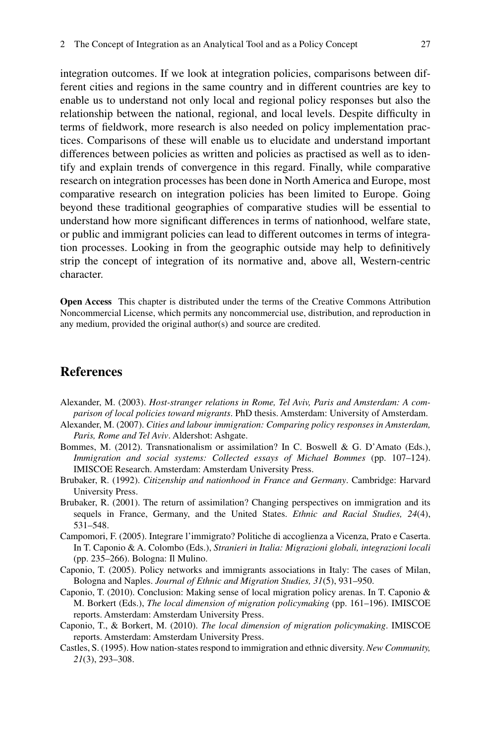<span id="page-17-0"></span>integration outcomes. If we look at integration policies, comparisons between different cities and regions in the same country and in different countries are key to enable us to understand not only local and regional policy responses but also the relationship between the national, regional, and local levels. Despite difficulty in terms of fieldwork, more research is also needed on policy implementation practices. Comparisons of these will enable us to elucidate and understand important differences between policies as written and policies as practised as well as to identify and explain trends of convergence in this regard. Finally, while comparative research on integration processes has been done in North America and Europe, most comparative research on integration policies has been limited to Europe. Going beyond these traditional geographies of comparative studies will be essential to understand how more significant differences in terms of nationhood, welfare state, or public and immigrant policies can lead to different outcomes in terms of integration processes. Looking in from the geographic outside may help to definitively strip the concept of integration of its normative and, above all, Western-centric character.

**Open Access** This chapter is distributed under the terms of the Creative Commons Attribution Noncommercial License, which permits any noncommercial use, distribution, and reproduction in any medium, provided the original author(s) and source are credited.

#### **References**

- Alexander, M. (2003). *Host-stranger relations in Rome, Tel Aviv, Paris and Amsterdam: A comparison of local policies toward migrants* . PhD thesis. Amsterdam: University of Amsterdam.
- Alexander, M. (2007). *Cities and labour immigration: Comparing policy responses in Amsterdam, Paris, Rome and Tel Aviv* . Aldershot: Ashgate.
- Bommes, M. (2012). Transnationalism or assimilation? In C. Boswell & G. D'Amato (Eds.), *Immigration and social systems: Collected essays of Michael Bommes* (pp. 107–124). IMISCOE Research. Amsterdam: Amsterdam University Press.
- Brubaker, R. (1992). *Citizenship and nationhood in France and Germany* . Cambridge: Harvard University Press.
- Brubaker, R. (2001). The return of assimilation? Changing perspectives on immigration and its sequels in France, Germany, and the United States. *Ethnic and Racial Studies*, 24(4), 531–548.
- Campomori, F. (2005). Integrare l'immigrato? Politiche di accoglienza a Vicenza, Prato e Caserta. In T. Caponio & A. Colombo (Eds.), *Stranieri in Italia: Migrazioni globali, integrazioni locali* (pp. 235–266). Bologna: Il Mulino.
- Caponio, T. (2005). Policy networks and immigrants associations in Italy: The cases of Milan, Bologna and Naples. *Journal of Ethnic and Migration Studies, 31* (5), 931–950.
- Caponio, T. (2010). Conclusion: Making sense of local migration policy arenas. In T. Caponio & M. Borkert (Eds.), *The local dimension of migration policymaking* (pp. 161–196). IMISCOE reports. Amsterdam: Amsterdam University Press.
- Caponio, T., & Borkert, M. (2010). *The local dimension of migration policymaking* . IMISCOE reports. Amsterdam: Amsterdam University Press.
- Castles, S. (1995). How nation-states respond to immigration and ethnic diversity. *New Community, 21* (3), 293–308.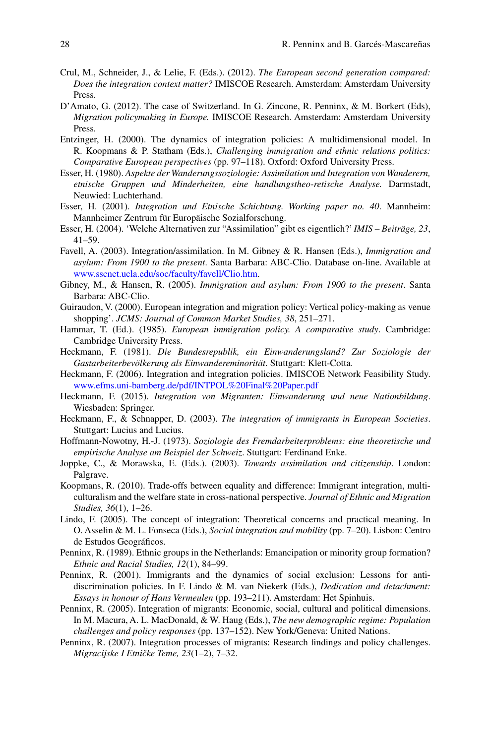- <span id="page-18-0"></span> Crul, M., Schneider, J., & Lelie, F. (Eds.). (2012). *The European second generation compared: Does the integration context matter?* IMISCOE Research. Amsterdam: Amsterdam University Press.
- D'Amato, G. (2012). The case of Switzerland. In G. Zincone, R. Penninx, & M. Borkert (Eds), *Migration policymaking in Europe.* IMISCOE Research. Amsterdam: Amsterdam University Press.
- Entzinger, H. (2000). The dynamics of integration policies: A multidimensional model. In R. Koopmans & P. Statham (Eds.), *Challenging immigration and ethnic relations politics: Comparative European perspectives* (pp. 97–118). Oxford: Oxford University Press.
- Esser, H. (1980). *Aspekte der Wanderungssoziologie: Assimilation und Integration von Wanderern, etnische Gruppen und Minderheiten, eine handlungstheo-retische Analyse.* Darmstadt, Neuwied: Luchterhand.
- Esser, H. (2001). *Integration und Etnische Schichtung. Working paper no. 40* . Mannheim: Mannheimer Zentrum für Europäische Sozialforschung.
- Esser, H. (2004). 'Welche Alternativen zur "Assimilation" gibt es eigentlich?' *IMIS Beiträge, 23* , 41–59.
- Favell, A. (2003). Integration/assimilation. In M. Gibney & R. Hansen (Eds.), *Immigration and asylum: From 1900 to the present* . Santa Barbara: ABC-Clio. Database on-line. Available at  [www.sscnet.ucla.edu/soc/faculty/favell/Clio.htm.](http://www.sscnet.ucla.edu/soc/faculty/favell/Clio.htm)
- Gibney, M., & Hansen, R. (2005). *Immigration and asylum: From 1900 to the present* . Santa Barbara: ABC-Clio.
- Guiraudon, V. (2000). European integration and migration policy: Vertical policy-making as venue shopping'. *JCMS: Journal of Common Market Studies*, 38, 251–271.
- Hammar, T. (Ed.). (1985). *European immigration policy. A comparative study* . Cambridge: Cambridge University Press.
- Heckmann, F. (1981). *Die Bundesrepublik, ein Einwanderungsland? Zur Soziologie der Gastarbeiterbevölkerung als Einwandereminorität* . Stuttgart: Klett-Cotta.
- Heckmann, F. (2006). Integration and integration policies. IMISCOE Network Feasibility Study.  [www.efms.uni-bamberg.de/pdf/INTPOL%20Final%20Paper.pdf](http://www.efms.uni-bamberg.de/pdf/INTPOL Final Paper.pdf)
- Heckmann, F. (2015). *Integration von Migranten: Einwanderung und neue Nationbildung* . Wiesbaden: Springer.
- Heckmann, F., & Schnapper, D. (2003). *The integration of immigrants in European Societies* . Stuttgart: Lucius and Lucius.
- Hoffmann-Nowotny, H.-J. (1973). *Soziologie des Fremdarbeiterproblems: eine theoretische und empirische Analyse am Beispiel der Schweiz* . Stuttgart: Ferdinand Enke.
- Joppke, C., & Morawska, E. (Eds.). (2003). *Towards assimilation and citizenship* . London: Palgrave.
- Koopmans, R. (2010). Trade-offs between equality and difference: Immigrant integration, multiculturalism and the welfare state in cross-national perspective. *Journal of Ethnic and Migration Studies, 36* (1), 1–26.
- Lindo, F. (2005). The concept of integration: Theoretical concerns and practical meaning. In O. Asselin & M. L. Fonseca (Eds.), *Social integration and mobility* (pp. 7–20). Lisbon: Centro de Estudos Geográficos.
- Penninx, R. (1989). Ethnic groups in the Netherlands: Emancipation or minority group formation? *Ethnic and Racial Studies, 12* (1), 84–99.
- Penninx, R. (2001). Immigrants and the dynamics of social exclusion: Lessons for antidiscrimination policies. In F. Lindo & M. van Niekerk (Eds.), *Dedication and detachment: Essays in honour of Hans Vermeulen* (pp. 193–211). Amsterdam: Het Spinhuis.
- Penninx, R. (2005). Integration of migrants: Economic, social, cultural and political dimensions. In M. Macura, A. L. MacDonald, & W. Haug (Eds.), *The new demographic regime: Population challenges and policy responses* (pp. 137–152). New York/Geneva: United Nations.
- Penninx, R. (2007). Integration processes of migrants: Research findings and policy challenges. *Migracijske I Etničke Teme, 23* (1–2), 7–32.